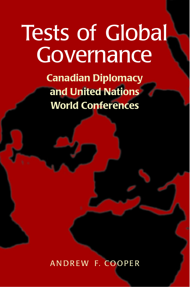# Tests of Global Governance

Canadian Diplomacy and United Nations World Conferences

AN DR EW F. CO OPE R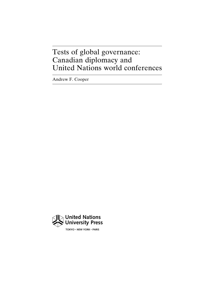## Tests of global governance: Canadian diplomacy and United Nations world conferences

Andrew F. Cooper

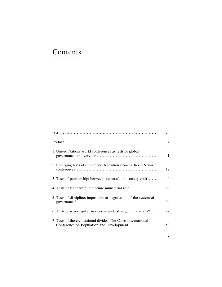# Contents

|                                                                   | vii |
|-------------------------------------------------------------------|-----|
|                                                                   | ix  |
| 1 United Nations world conferences as tests of global             | 1   |
| 2 Emerging tests of diplomacy: transition from earlier UN world   | 12  |
| 3 Tests of partnership: between statecraft and society-craft      | 40  |
|                                                                   | 69  |
| 5 Tests of discipline: imposition or negotiation of the system of | 94  |
| 6 Tests of sovereignty: an evasive and estranged diplomacy?       | 122 |
| 7 Tests of the civilisational divide? The Cairo International     | 152 |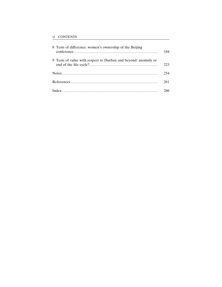#### vi CONTENTS

| 8 Tests of difference: women's ownership of the Beijing        | 184 |
|----------------------------------------------------------------|-----|
| 9 Tests of value with respect to Durban and beyond: anomaly or | 223 |
|                                                                | 254 |
|                                                                | 261 |
|                                                                | 286 |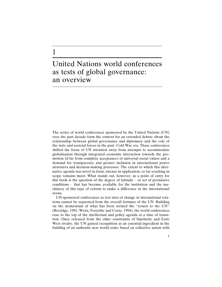### United Nations world conferences as tests of global governance: an overview

1

The series of world conferences sponsored by the United Nations (UN) over the past decade form the context for an extended debate about the relationship between global governance and diplomacy and the role of the state and societal forces in the post–Cold War era. These conferences shifted the focus of UN attention away from attempts to accommodate globalisation through integrated economic interaction towards the promotion (if far from complete acceptance) of universal social values and a demand for transparency and greater inclusion in international power structures and decision-making processes. The extent to which this alternative agenda was novel in form, intense in application, or far-reaching in scope remains moot. What stands out, however, as a point of entry for this book is the question of the degree of latitude – or set of permissive conditions – that has become available for the institution and the machinery of this type of reform to make a difference in the international arena.

UN-sponsored conferences as test sites of change in international relations cannot be separated from the overall fortunes of the UN. Building on the momentum of what has been termed the ''return to the UN'' (Berridge, 1991; Weiss, Forsythe and Coate, 1994), the world conferences rose to the top of the intellectual and policy agenda at a time of transition. Once released from the older constraints of bipolarity and East/ West rivalry, the UN gained recognition as an essential ingredient in the building of an authentic new world order based on collective action with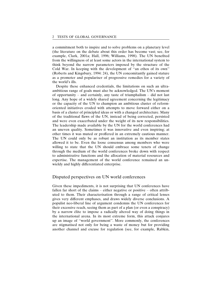a commitment both to inspire and to solve problems on a planetary level (the literature on the debate about this order has become vast; see, for example, Clark, 2001a; Hall, 1996; Williams, 1998). The UN benefited from the willingness of at least some actors in the international system to think beyond the narrow parameters imposed by the structure of the Cold War. In keeping with the development of ''an ethos of its own'' (Roberts and Kingsbury, 1994: 24), the UN concomitantly gained stature as a promoter and populariser of progressive remedies for a variety of the world's ills.

Despite these enhanced credentials, the limitations on such an ultraambitious range of goals must also be acknowledged. The UN's moment of opportunity – and certainly, any taste of triumphalism – did not last long. Any hope of a widely shared agreement concerning the legitimacy or the capacity of the UN to champion an ambitious cluster of reformoriented initiatives eroded with attempts to move forward either on a basis of a cluster of principled ideas or with a changed architecture. Many of the traditional flaws of the UN, instead of being corrected, persisted and were even exacerbated under the weight of its new responsibilities. The leadership made available by the UN for the world conferences had an uneven quality. Sometimes it was innovative and even inspiring; at other times it was muted or proffered in an extremely cautious manner. The UN could only be as robust an institution as its member states allowed it to be. Even the loose consensus among members who were willing to state that the UN should embrace some tenets of change through the medium of the world conferences broke down with respect to administrative functions and the allocation of material resources and expertise. The management of the world conference remained an unwieldy and highly differentiated enterprise.

#### Disputed perspectives on UN world conferences

Given these impediments, it is not surprising that UN conferences have fallen far short of the claims – either negative or positive – often attributed to them. Their characterisation through a range of critical lenses gives very different emphases, and draws widely diverse conclusions. A populist neo-liberal line of argument condemns the UN conferences for their excessive reach, seeing them as part of a plan (or even a conspiracy) by a narrow et ite to impose a radically altered way of doing things in the international arena. In its most extreme form, this attack conjures up an image of ''world government''. More commonly, the conferences are stigmatised not only for being a waste of money but for providing another channel and excuse for regulation (see, for example, Rabkin,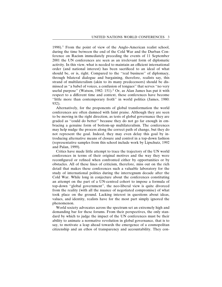$1998$ ).<sup>1</sup> From the point of view of the Anglo-American realist school, during the time between the end of the Cold War and the Durban Conference on Racism immediately preceding the events of 11 September 2001 the UN conferences are seen as an irrelevant form of diplomatic activity. In this view, what is needed to maintain an efficient international order (and national interest) has been sacrificed to an ideal of what should be, or is, right. Compared to the ''real business'' of diplomacy, through bilateral dialogue and bargaining, therefore, realists say, this strand of multilateralism (akin to its many predecessors) should be dismissed as ''a babel of voices, a confusion of tongues'' that serves ''no very useful purpose" (Watson, 1982: 151).<sup>2</sup> Or, as Alan James has put it with respect to a different time and context, these conferences have become ''little more than contemporary froth'' in world politics (James, 1980: 932).

Alternatively, for the proponents of global transformation the world conferences are often damned with faint praise. Although they are seen to be moving in the right direction, as tests of global governance they are graded as ''could do better'' because they do not go far enough in embracing a genuine form of bottom-up multilateralism. The conferences may help nudge the process along the correct path of change, but they do not represent the goal. Indeed, they may even delay this goal by introducing alternative means of closure and control in a top-down fashion (representative samples from this school include work by Lipschutz, 1992 and Palan, 1999).

Critics have made little attempt to trace the trajectory of the UN world conferences in terms of their original motives and the way they were reconfigured or refined when confronted either by opportunities or by obstacles. All of these lines of criticism, therefore, miss out on the rich detail that makes these conferences such a valuable laboratory for the study of international politics during the interregnum decade after the Cold War. While long in conjecture about the conferences constituting an attempt on the part of a UN-centred cohort to impose a formula of top-down ''global government'', the neo-liberal view is quite divorced from the reality (with all the nuance of negotiated compromise) of what took place on the ground. Lacking interest in questions about ideas, values, and identity, realists have for the most part simply ignored the phenomenon.

World society advocates across the spectrum set an extremely high and demanding bar for these forums. From their perspectives, the only standard by which to judge the impact of the UN conferences must be their ability to animate a normative revolution in global governance, that is to say, to motivate a leap ahead towards the emergence of a cosmopolitan citizenship and an ethos of transparency and accountability. They con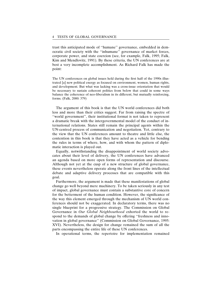trast this anticipated mode of ''humane'' governance, embedded in democratic civil society with the ''inhumane'' governance of market forces, corporate power, and state coercion (see, for example, Falk, 1995; Falk, Kim and Mendlovitz, 1991). By these criteria, the UN conferences are at best a very incomplete accomplishment. As Richard Falk has made the point:

The UN conferences on global issues held during the first half of the 1990s illustrated [a] new political energy as focused on environment, women, human rights, and development. But what was lacking was a cross-issue orientation that would be necessary to sustain coherent politics from below that could in some ways balance the coherence of neo-liberalism in its different, but mutually reinforcing, forms. (Falk, 2000: 379)

The argument of this book is that the UN world conferences did both less and more than their critics suggest. Far from raising the spectre of ''world government'', their institutional format is not taken to represent a dramatic break with the intergovernmental model of the conduct of international relations. States still remain the principal agents within the UN-centred process of communication and negotiation. Yet, contrary to the view that the UN conferences amount to theatre and little else, the contention in this book is that they have acted as a vehicle for bending the rules in terms of where, how, and with whom the pattern of diplomatic interaction is played out.

Equally, notwithstanding the disappointment of world society advocates about their level of delivery, the UN conferences have advanced an agenda based on more open forms of representation and discourse. Although not yet at the cusp of a new structure of global governance, these events nevertheless operate along the front lines of the intellectual debate and adaptive delivery processes that are compatible with this goal.

Furthermore, the argument is made that these manifestations of global change go well beyond mere machinery. To be taken seriously in any test of impact, global governance must contain a substantive core of concern for the betterment of the human condition. However, the significance of the way this element emerged through the mechanism of UN world conferences should not be exaggerated. In declaratory terms, there was no single blueprint for a progressive strategy. The Commission on Global Governance in Our Global Neighbourhood exhorted the world to respond to the demands of global change by offering ''freshness and innovation in global governance'' (Commission on Global Governance, 1995: XVI). Nevertheless, the design for change remained the sum of all the parts encompassing the entire life of these UN conferences.

In operational terms, the repertoire for implementation remained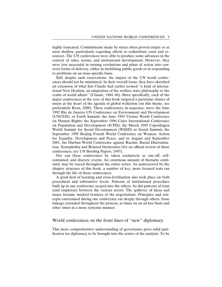highly truncated. Commitments made by states often proved empty or at most shallow, particularly regarding efforts to redistribute costs and resources. The UN conferences were able to produce some advances in the context of rules, norms, and institutional development. However, they were less successful in turning resolutions and plans of action into concrete forms of delivery, either in mobilising public goods or in responding to problems on an issue-specific basis.

Still, despite such reservations, the impact of the UN world conferences should not be minimised. In their overall focus, they have sketched an extension of what Inis Claude had earlier termed ''a kind of international New Dealism, an adaptation of the welfare state philosophy to the realm of world affairs'' (Claude, 1984: 66). More specifically, each of the major conferences at the core of this book targeted a particular cluster of issues at the heart of the agenda of global welfarism (on this theme, see particularly Ryan, 2000). These conferences, in sequence, were: the June 1992 Rio de Janeiro UN Conference on Environment and Development (UNCED), or Earth Summit; the June 1993 Vienna World Conference on Human Rights; the September 1994 Cairo International Conference on Population and Development (ICPD); the March 1995 Copenhagen World Summit for Social Development (WSSD) or Social Summit; the September 1995 Beijing Fourth World Conference on Women: Action for Equality, Development and Peace; and in August and September 2001, the Durban World Conference against Racism, Racial Discrimination, Xenophobia and Related Intolerance (for an official review of these conferences, see UN Briefing Papers, 1997).

Nor can these conferences be taken exclusively as one-off, selfcontained, and discrete events. An enormous amount of thematic continuity may be traced throughout the entire series. As underscored by the chapter structure of this book, a number of key, more focused tests ran through the life of these conferences.

A good deal of learning and cross-fertilisation also took place on both procedural and substantive levels. Patterns of institutional procedure built up in one conference seeped into the others. So did patterns of trust (and suspicion) between the various actors. The spillover of ideas and issues became marked features of the negotiations. Principles and concepts entertained during one conference cut deeply through others. Issue linkage extended throughout the process, at times on an ad hoc basis and other times in a more systemic manner.

#### World conferences on the front lines of ''new'' diplomacy

This more comprehensive understanding of governance gives solid justification for diplomacy to be brought into the centre of the analysis. To be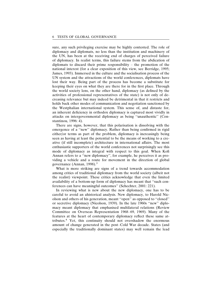sure, any such privileging exercise may be highly contested. The role of diplomacy and diplomats, no less than the institution and machinery of the UN, has been at the receiving end of charges of perceived failure of diplomacy. In realist terms, this failure stems from the abdication of diplomats to discard their prime responsibility – the promotion of the national interest (for a clear exposition of this view, see Berridge, 1995; James, 1993). Immersed in the culture and the socialisation process of the UN system and the attractions of the world conferences, diplomats have lost their way. Being part of the process has become a substitute for keeping their eyes on what they are there for in the first place. Through the world society lens, on the other hand, diplomacy (as defined by the activities of professional representatives of the state) is not only of decreasing relevance but may indeed be detrimental in that it restricts and holds back other modes of communication and negotiation sanctioned by the Westphalian international system. This sense of, and distaste for, an inherent deficiency in orthodox diplomacy is captured most vividly in attacks on intergovernmental diplomacy as being ''unauthentic'' (Constantinou, 1996: 4).

There are signs, however, that this polarisation is dissolving with the emergence of a ''new'' diplomacy. Rather than being confirmed in rigid either/or terms as part of the problem, diplomacy is increasingly being seen as having at least the potential to be the means of working to a creative (if still incomplete) architecture in international affairs. The most enthusiastic supporters of the world conferences not surprisingly see this mode of diplomacy as integral with respect to this goal. When Kofi Annan refers to a ''new diplomacy'', for example, he perceives it as providing a vehicle and a route for movement in the direction of global governance (Annan, 1998).<sup>3</sup>

What is more striking are signs of a trend towards accommodation among critics of traditional diplomacy from the world society (albeit not the realist) viewpoint. These critics acknowledge that even the limited availability of a bottom-up form of diplomacy has meant that ''such conferences can have meaningful outcomes'' (Schechter, 2001: 221).

In reviewing what is new about the new diplomacy, one has to be careful to avoid an ahistorical analysis. New diplomacy, to Harold Nicolson and others of his generation, meant ''open'' as opposed to ''closed'' or secretive diplomacy (Nicolson, 1939). In the late 1960s ''new'' diplomacy meant diplomacy that emphasised multilateral relations (Review Committee on Overseas Representation 1968–69, 1969). Many of the features at the heart of contemporary diplomacy reflect these same attributes.4 Yet, this continuity should not overshadow the enormous amount of change generated in the post–Cold War decade. States (and especially the traditionally dominant states) may well remain the lead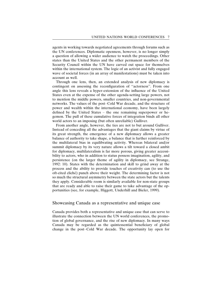agents in working towards negotiated agreements through forums such as the UN conferences. Diplomatic openness, however, is no longer simply a question of allowing a wider audience to watch the proceedings. Other states than the United States and the other permanent members of the Security Council within the UN have carved out space for themselves within the international system. The logic of an activist and fully engaged wave of societal forces (in an array of manifestations) must be taken into account as well.

Through one lens, then, an extended analysis of new diplomacy is contingent on assessing the reconfiguration of ''actorness''. From one angle this lens reveals a hyper-extension of the influence of the United States even at the expense of the other agenda-setting large powers, not to mention the middle powers, smaller countries, and non-governmental networks. The values of the post–Cold War decade, and the structure of power and wealth within the international economy, have been largely defined by the United States – the one remaining superpower or hegemon. The pull of these cumulative forces of integration binds all other world actors to an imposing (but often unreliable) Gulliver.

From another angle, however, the ties are not to but around Gulliver. Instead of conceding all the advantages that the giant claims by virtue of its great strength, the emergence of a new diplomacy allows a greater balance of authority to take shape, a balance that is further reinforced by the multilateral bias in equilibrating activity. Whereas bilateral and/or summit diplomacy by its very nature allows a tilt toward a closed ambit for diplomacy, multilateralism is far more porous, giving greater accessibility to actors, who in addition to status possess imagination, agility, and persistence (on the larger theme of agility in diplomacy, see Strange, 1992: 10). States with the determination and skill to grind away at the process and the ability to provide touches of creativity can (to use the oft-cited cliche´) punch above their weight. The determining factor is not so much the structural asymmetry between the state actors but the talents they apply. Considerable room is similarly available for non-state groups that are ready and able to raise their game to take advantage of the opportunities (see, for example, Higgott, Underhill and Bieler, 1999).

#### Showcasing Canada as a representative and unique case

Canada provides both a representative and unique case that can serve to illustrate the connection between the UN world conferences, the promotion of global governance, and the rise of new diplomacy. In many ways Canada may be regarded as the quintessential beneficiary of global change in the post–Cold War decade. The opportunity lay open for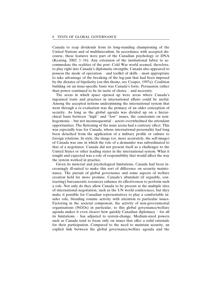Canada to reap dividends from its long-standing championing of the United Nations and of multilateralism. In accordance with accepted discourse, these features were part of the Canadian psychology or DNA (Keating, 2002: 1–16). Any extension of the institutional fabric to accommodate the realities of the post–Cold War world seemed, therefore, to play right into Canada's diplomatic strengths. Canada also appeared to possess the mode of operation – and toolkit of skills – most appropriate to take advantage of the breaking of the log-jam that had been imposed by the dictates of bipolarity (on this theme, see Cooper, 1997a). Coalition building on an issue-specific basis was Canada's forte. Persuasion rather than power continued to be its tactic of choice – and necessity.

The areas in which space opened up were areas where Canada's ingrained traits and practices in international affairs could be useful. Among the accepted notions underpinning the international system that went through a re-evaluation was the primacy of an older conception of security. As long as the global agenda was divided up on a hierarchical basis between ''high'' and ''low'' issues, the constraints on nonhegemonic – but not inconsequential – actors overwhelmed the attendant opportunities. The flattening of the issue arena had a contrary effect. This was especially true for Canada, whose international personality had long been detached from the application of a military profile or culture to foreign relations. In style, the image (or, more accurately, the self-image) of Canada was one in which the role of a demander was subordinated to that of a negotiator. Canada did not present itself as a challenger to the United States or other leading states in the international system. What it sought and expected was a role of responsibility that would affect the way the system worked in practice.

Given its material and psychological limitations, Canada had been increasingly ill-suited to make this sort of difference on security maintenance. The pursuit of global governance and some aspects of welfare creation held far more promise. Canada's abundant (if arguably, contracting) bureaucratic resources enhance its effectiveness to perform such a role. Not only do they allow Canada to be present at the multiple sites of international negotiation, such as the UN world conferences, but they make it possible for Canadian representatives to play a comfortable insider role, blending routine activity with attention to particular issues. Factoring in the societal component, the activity of non-governmental organisations (NGOs) in particular, to this global governance/welfare agenda makes it even clearer how quickly Canadian diplomacy – for all its limitations – has adjusted to system-change. Medium-sized powers such as Canada tend to focus only on issues that offer a solid rationale for their participation. Compared to the need to maintain security, an explicit link between the global governance/welfare agenda and the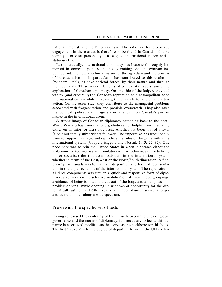national interest is difficult to ascertain. The rationale for diplomatic engagement in these areas is therefore to be found in Canada's double identity – or dual personality – as a good international citizen and a status-seeker.

Just as crucially, international diplomacy has become thoroughly immersed in domestic politics and policy making. As Gil Winham has pointed out, the newly technical nature of the agenda – and the process of bureaucratisation, in particular – has contributed to this evolution (Winham, 1993), as have societal forces, by their nature and through their demands. These added elements of complexity have strained the application of Canadian diplomacy. On one side of the ledger, they add vitality (and credibility) to Canada's reputation as a cosmopolitan good international citizen while increasing the channels for diplomatic interaction. On the other side, they contribute to the managerial problems associated with fragmentation and possible overstretch. They also raise the political, policy, and image stakes attendant on Canada's performance in the international arena.

A strong image of Canadian diplomacy extending back to the post– World War era has been that of a go-between or helpful fixer, mediating either on an inter- or intra-bloc basis. Another has been that of a loyal (albeit not totally subservient) follower. The imperative has traditionally been to support, manage, and reproduce the rules of the game within the international system (Cooper, Higgott and Nossal, 1993: 22–32). One need here was to rein the United States in when it became either too isolationist or too zealous in its unilateralism. Another was to try to bring in (or socialise) the traditional outsiders in the international system, whether in terms of the East/West or the North/South dimension. A final priority for Canada was to maintain its position and level of representation in the upper echelons of the international system. The repertoire in all three components was similar: a quick and responsive form of diplomacy, a reliance on the selective mobilisation of like-minded groupings, avoidance of being isolated and cut out of the loop, and an emphasis on problem-solving. While opening up windows of opportunity for the diplomatically astute, the 1990s revealed a number of unforeseen challenges and vulnerabilities along a wide spectrum.

#### Previewing the specific set of tests

Having rehearsed the centrality of the nexus between the ends of global governance and the means of diplomacy, it is necessary to locate this dynamic in a series of specific tests that serve as the backbone for this book. The first test relates to the degree of departure found in the UN confer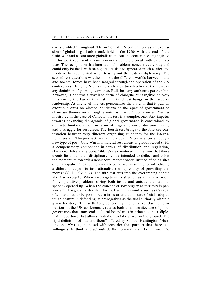ences profiled throughout. The notion of UN conferences as an expression of global organisation took hold in the 1990s with the end of the Cold War and accentuated globalisation. But the conferences highlighted in this work represent a transition not a complete break with past practices. The recognition that international problems concern everybody and could only be dealt with on a global basis had appeared much earlier and needs to be appreciated when teasing out the tests of diplomacy. The second test questions whether or not the different worlds between state and societal forces have been merged through the operation of the UN conferences. Bringing NGOs into such a partnership lies at the heart of any definition of global governance. Built into any authentic partnership, however, is not just a sustained form of dialogue but tangible delivery thus raising the bar of this test. The third test hangs on the issue of leadership. At one level this test personalises the state, in that it puts an enormous onus on elected politicians at the apex of government to showcase themselves through events such as UN conferences. Yet, as illustrated in the case of Canada, this test is a complex one. Any impetus towards advancing the agenda of global governance is constrained by domestic limitations both in terms of fragmentation of decision making and a struggle for resources. The fourth test brings to the fore the contestation between very different organising guidelines for the international system. The perspective that individual UN conferences embody a new type of post–Cold War multilateral settlement or global accord (with a compensatory component in terms of distribution and regulation) (Deacon, Hulse and Stubbs, 1997: 87) is countered by the view that these events lie under the ''disciplinary'' cloak intended to deflect and offset the momentum towards a neo-liberal market order. Instead of being sites of emancipation these conferences become arenas simply for introducing a different recipe ''to institutionalise the supremacy of prevailing elements'' (Gill, 1997: 6–7). The fifth test cuts into the overarching debate about sovereignty. When sovereignty is constructed as autonomy, room for cooperative problem solving both inside and outside the national space is opened up. When the concept of sovereignty as territory is paramount, though, a harder shell forms. Even in a country such as Canada, often assumed to be post-modern in its orientation, state officials adopt a tough posture in defending its prerogatives as the final authority within a given territory. The sixth test, concerning the putative clash of civilisations at the UN conferences, relates both to an architecture of global governance that transcends cultural boundaries in principle and a diplomatic repertoire that allows mediation to take place on the ground. The rigid definition of ''us and them'' offered by Samuel Huntington (Huntington, 1996) is juxtaposed with scenarios that purport that there is a willingness to think and act outside the ''civilisational'' box in order to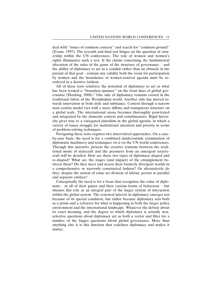deal with ''issues of common concern'' and search for ''common ground'' (Evans, 1997). The seventh and final test hinges on the question of ownership within the UN conferences. The role of women and women's rights illuminates such a test. If the claims concerning the fundamental alteration of the rules of the game of the structure of governance – and the ability of diplomacy to act as a conduit rather than an obstacle in the pursuit of that goal – contain any validity both the room for participation by women and the boundaries of women-centred agenda must be reordered in a decisive fashion.

All of these tests reinforce the potential of diplomacy to act as what has been termed a ''boundary-spanner'' on the front lines of global governance (Hocking, 2000).<sup>5</sup> One side of diplomacy remains rooted in the traditional fabric of the Westphalian world. Another side has moved towards innovation in both style and substance. Control through a narrow state-centric model vies with a more diffuse and transparent structure on a global scale. The international arena becomes thoroughly penetrated and integrated by the domestic context and constituencies. Rigid hierarchy gives way to a variegated pluralism in the global agenda, in which a variety of issues struggle for institutional attention and priority in terms of problem-solving techniques.

Navigating these tests requires two interrelated approaches. On a caseby-case basis, the need is for a combined inside/outside examination of diplomatic machinery and techniques vis-à-vis the UN world conferences. Through this narrative process the creative tensions between the traditional mode of statecraft and the pressures from an emergent societycraft will be detailed. How are these two types of diplomacy shaped and re-shaped? What are the stages (and impact) of the entanglement between them? Do they meet and access their formerly divergent worlds in a comprehensive or narrowly constructed fashion? Or alternatively do they, despite the notion of some set division of labour, persist as parallel and separate entities?

Conceptually the need is for a focus that recognises the value of diplomats – in all of their guises and their various forms of behaviour – but situates this role as an integral part of the larger system of interaction within the global system. The renewed interest in diplomacy emerges not because of its special condition, but rather because diplomacy acts both as a prism and a refractor for what is happening in both the larger policy environment and the international landscape. Whatever the debate about its exact meaning, and the degree to which diplomacy is actually new, selective questions about diplomacy act as both a vector and filter for a number of the bigger questions about global governance. More than anything else it is this function that redefines diplomacy and makes it matter.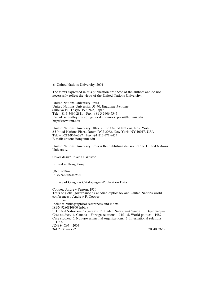*(* United Nations University, 2004

The views expressed in this publication are those of the authors and do not necessarily reflect the views of the United Nations University.

United Nations University Press United Nations University, 53-70, Jingumae 5-chome, Shibuya-ku, Tokyo, 150-8925, Japan Tel:  $+81-3-3499-2811$  Fax:  $+81-3-3406-7345$ E-mail: sales@hq.unu.edu general enquiries: press@hq.unu.edu http://www.unu.edu

United Nations University Office at the United Nations, New York 2 United Nations Plaza, Room DC2-2062, New York, NY 10017, USA Tel: +1-212-963-6387 Fax: +1-212-371-9454 E-mail: unuona@ony.unu.edu

United Nations University Press is the publishing division of the United Nations University.

Cover design Joyce C. Weston

Printed in Hong Kong

UNUP-1096 ISBN 92-808-1096-0

Library of Congress Cataloging-in-Publication Data

Cooper, Andrew Fenton, 1950– Tests of global governance : Canadian diplomacy and United Nations world conferences / Andrew F. Cooper. p. cm. Includes bibliographical references and index. ISBN 9280810960 (pbk.) 1. United Nations—Congresses. 2. United Nations—Canada. 3. Diplomacy— Case studies. 4. Canada—Foreign relations–1945– 5. World politics—1989— Case studies. 6. Non-governmental organizations. 7. International relations. I. Title. JZ4984.C67 2004 341.23'71-dc22 2004007655